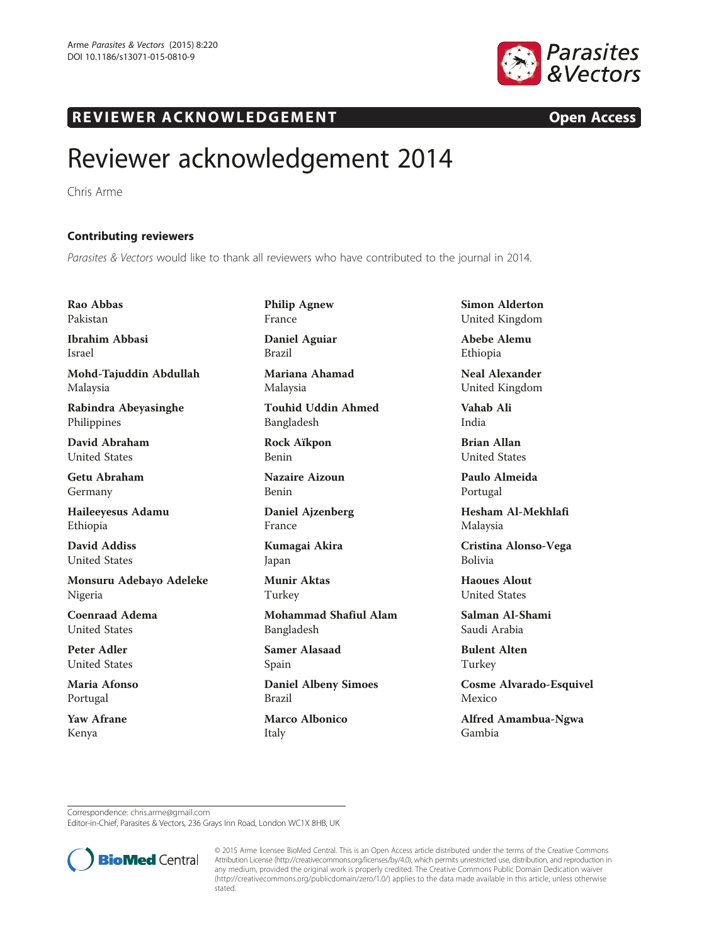

## R EVI EW E R ACKNOW L EDG EM EN T Open Access

## Reviewer acknowledgement 2014

Chris Arme

## Contributing reviewers

Parasites & Vectors would like to thank all reviewers who have contributed to the journal in 2014.

Rao Abbas Pakistan

Ibrahim Abbasi Israel

Mohd-Tajuddin Abdullah Malaysia

Rabindra Abeyasinghe Philippines

David Abraham United States

Getu Abraham Germany

Haileeyesus Adamu Ethiopia

David Addiss United States

Monsuru Adebayo Adeleke Nigeria

Coenraad Adema United States

Peter Adler United States

Maria Afonso Portugal

Yaw Afrane Kenya

Philip Agnew France Daniel Aguiar

Brazil

Mariana Ahamad Malaysia

Touhid Uddin Ahmed Bangladesh

Rock Aïkpon Benin

Nazaire Aizoun Benin

Daniel Ajzenberg France

Kumagai Akira Japan

Munir Aktas Turkey

Mohammad Shafiul Alam Bangladesh

Samer Alasaad Spain

Daniel Albeny Simoes Brazil

Marco Albonico Italy

Simon Alderton United Kingdom

Abebe Alemu Ethiopia

Neal Alexander United Kingdom

Vahab Ali India

Brian Allan United States

Paulo Almeida Portugal

Hesham Al-Mekhlafi Malaysia

Cristina Alonso-Vega Bolivia

Haoues Alout United States

Salman Al-Shami Saudi Arabia

Bulent Alten Turkey

Cosme Alvarado-Esquivel Mexico

Alfred Amambua-Ngwa Gambia

Correspondence: [chris.arme@gmail.com](mailto:chris.arme@gmail.com)

Editor-in-Chief, Parasites & Vectors, 236 Grays Inn Road, London WC1X 8HB, UK



© 2015 Arme licensee BioMed Central. This is an Open Access article distributed under the terms of the Creative Commons Attribution License [\(http://creativecommons.org/licenses/by/4.0\)](http://creativecommons.org/licenses/by/4.0), which permits unrestricted use, distribution, and reproduction in any medium, provided the original work is properly credited. The Creative Commons Public Domain Dedication waiver [\(http://creativecommons.org/publicdomain/zero/1.0/](http://creativecommons.org/publicdomain/zero/1.0/)) applies to the data made available in this article, unless otherwise stated.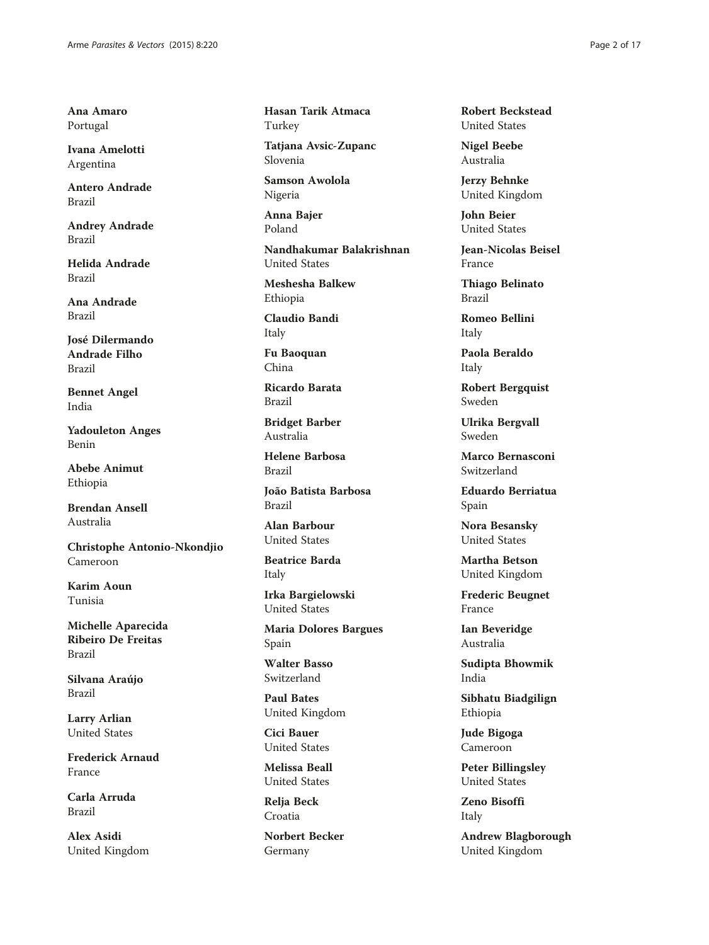Ana Amaro Portugal

Ivana Amelotti Argentina

Antero Andrade Brazil

Andrey Andrade Brazil

Helida Andrade Brazil

Ana Andrade Brazil

José Dilermando Andrade Filho Brazil

Bennet Angel India

Yadouleton Anges Benin

Abebe Animut Ethiopia

Brendan Ansell Australia

Christophe Antonio-Nkondjio Cameroon

Karim Aoun Tunisia

Michelle Aparecida Ribeiro De Freitas Brazil

Silvana Araújo Brazil

Larry Arlian United States

Frederick Arnaud France

Carla Arruda Brazil

Alex Asidi United Kingdom Hasan Tarik Atmaca Turkey

Tatjana Avsic-Zupanc Slovenia

Samson Awolola Nigeria

Anna Bajer Poland

Nandhakumar Balakrishnan United States

Meshesha Balkew Ethiopia

Claudio Bandi Italy

Fu Baoquan China

Ricardo Barata Brazil

Bridget Barber Australia

Helene Barbosa Brazil

João Batista Barbosa Brazil

Alan Barbour United States

Beatrice Barda Italy

Irka Bargielowski United States

Maria Dolores Bargues Spain

Walter Basso Switzerland

Paul Bates United Kingdom

Cici Bauer United States

Melissa Beall United States

Relja Beck Croatia

Norbert Becker Germany

Robert Beckstead United States

Nigel Beebe Australia

Jerzy Behnke United Kingdom

John Beier United States

Jean-Nicolas Beisel France

Thiago Belinato Brazil

Romeo Bellini Italy

Paola Beraldo Italy

Robert Bergquist Sweden

Ulrika Bergvall Sweden

Marco Bernasconi Switzerland

Eduardo Berriatua Spain

Nora Besansky United States

Martha Betson United Kingdom

Frederic Beugnet France

Ian Beveridge Australia

Sudipta Bhowmik India

Sibhatu Biadgilign Ethiopia

Jude Bigoga Cameroon

Peter Billingsley United States

Zeno Bisoffi Italy

Andrew Blagborough United Kingdom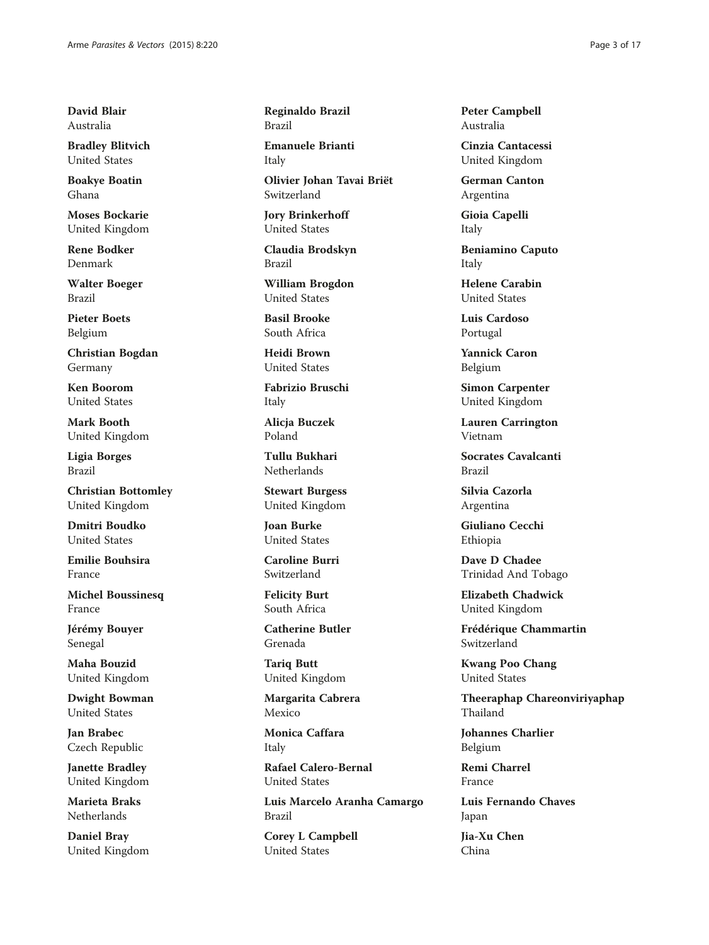David Blair Australia

Bradley Blitvich United States

Boakye Boatin Ghana

Moses Bockarie United Kingdom

Rene Bodker Denmark

Walter Boeger Brazil

Pieter Boets Belgium

Christian Bogdan Germany

Ken Boorom United States

Mark Booth United Kingdom

Ligia Borges Brazil

Christian Bottomley United Kingdom

Dmitri Boudko United States

Emilie Bouhsira France

Michel Boussinesq France

Jérémy Bouyer Senegal

Maha Bouzid United Kingdom

Dwight Bowman United States

Jan Brabec Czech Republic

Janette Bradley United Kingdom

Marieta Braks Netherlands

Daniel Bray United Kingdom Reginaldo Brazil Brazil

Emanuele Brianti Italy

Olivier Johan Tavai Briët Switzerland

Jory Brinkerhoff United States

Claudia Brodskyn Brazil

William Brogdon United States

Basil Brooke South Africa

Heidi Brown United States

Fabrizio Bruschi Italy

Alicja Buczek Poland

Tullu Bukhari Netherlands

Stewart Burgess United Kingdom

Joan Burke United States

Caroline Burri Switzerland

Felicity Burt South Africa

Catherine Butler Grenada

Tariq Butt United Kingdom

Margarita Cabrera Mexico

Monica Caffara Italy

Rafael Calero-Bernal United States

Luis Marcelo Aranha Camargo Brazil

Corey L Campbell United States

Peter Campbell Australia

Cinzia Cantacessi United Kingdom

German Canton Argentina

Gioia Capelli Italy

Beniamino Caputo Italy

Helene Carabin United States

Luis Cardoso Portugal

Yannick Caron Belgium

Simon Carpenter United Kingdom

Lauren Carrington Vietnam

Socrates Cavalcanti Brazil

Silvia Cazorla Argentina

Giuliano Cecchi Ethiopia

Dave D Chadee Trinidad And Tobago

Elizabeth Chadwick United Kingdom

Frédérique Chammartin Switzerland

Kwang Poo Chang United States

Theeraphap Chareonviriyaphap Thailand

Johannes Charlier Belgium

Remi Charrel France

Luis Fernando Chaves Japan

Jia-Xu Chen China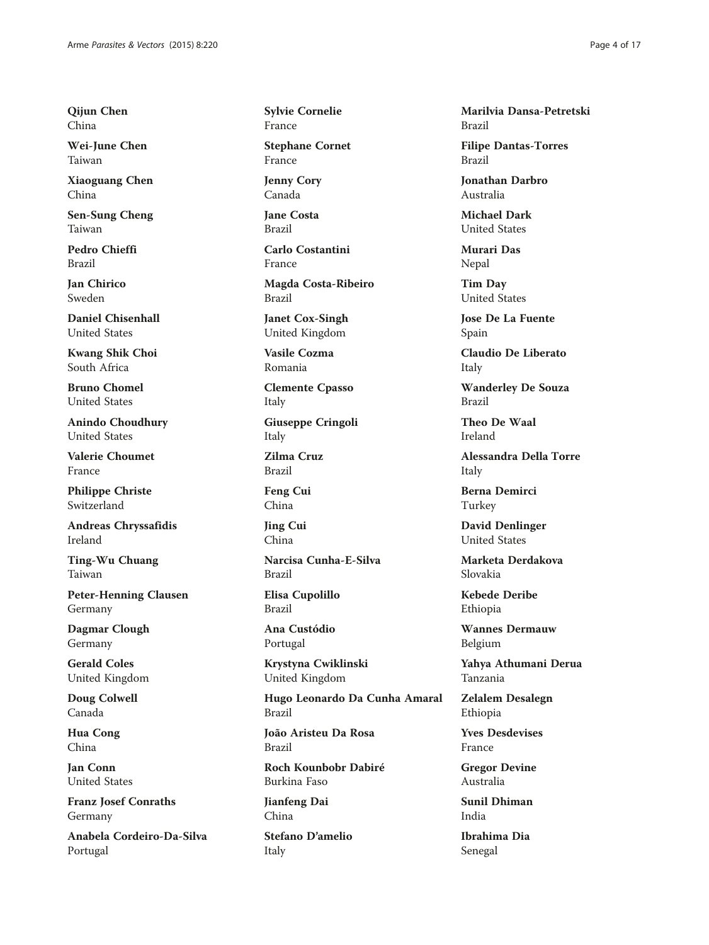Qijun Chen China

Wei-June Chen Taiwan

Xiaoguang Chen China

Sen-Sung Cheng Taiwan

Pedro Chieffi Brazil

Jan Chirico Sweden

Daniel Chisenhall United States

Kwang Shik Choi South Africa

Bruno Chomel United States

Anindo Choudhury United States

Valerie Choumet France

Philippe Christe Switzerland

Andreas Chryssafidis Ireland

Ting-Wu Chuang Taiwan

Peter-Henning Clausen Germany

Dagmar Clough Germany

Gerald Coles United Kingdom

Doug Colwell Canada

Hua Cong China

Jan Conn United States

Franz Josef Conraths Germany

Anabela Cordeiro-Da-Silva Portugal

Sylvie Cornelie France

Stephane Cornet France

Jenny Cory Canada

Jane Costa Brazil

Carlo Costantini France

Magda Costa-Ribeiro Brazil

Janet Cox-Singh United Kingdom

Vasile Cozma Romania

Clemente Cpasso Italy

Giuseppe Cringoli Italy

Zilma Cruz Brazil

Feng Cui China

Jing Cui China

Narcisa Cunha-E-Silva Brazil

Elisa Cupolillo Brazil

Ana Custódio Portugal

Krystyna Cwiklinski United Kingdom

Hugo Leonardo Da Cunha Amaral Brazil

João Aristeu Da Rosa Brazil

Roch Kounbobr Dabiré Burkina Faso

Jianfeng Dai China

Stefano D'amelio Italy

Marilvia Dansa-Petretski Brazil

Filipe Dantas-Torres Brazil

Jonathan Darbro Australia

Michael Dark United States

Murari Das Nepal

Tim Day United States

Jose De La Fuente Spain

Claudio De Liberato Italy

Wanderley De Souza Brazil

Theo De Waal Ireland

Alessandra Della Torre Italy

Berna Demirci Turkey

David Denlinger United States

Marketa Derdakova Slovakia

Kebede Deribe Ethiopia

Wannes Dermauw Belgium

Yahya Athumani Derua Tanzania

Zelalem Desalegn Ethiopia

Yves Desdevises France

Gregor Devine Australia

Sunil Dhiman India

Ibrahima Dia Senegal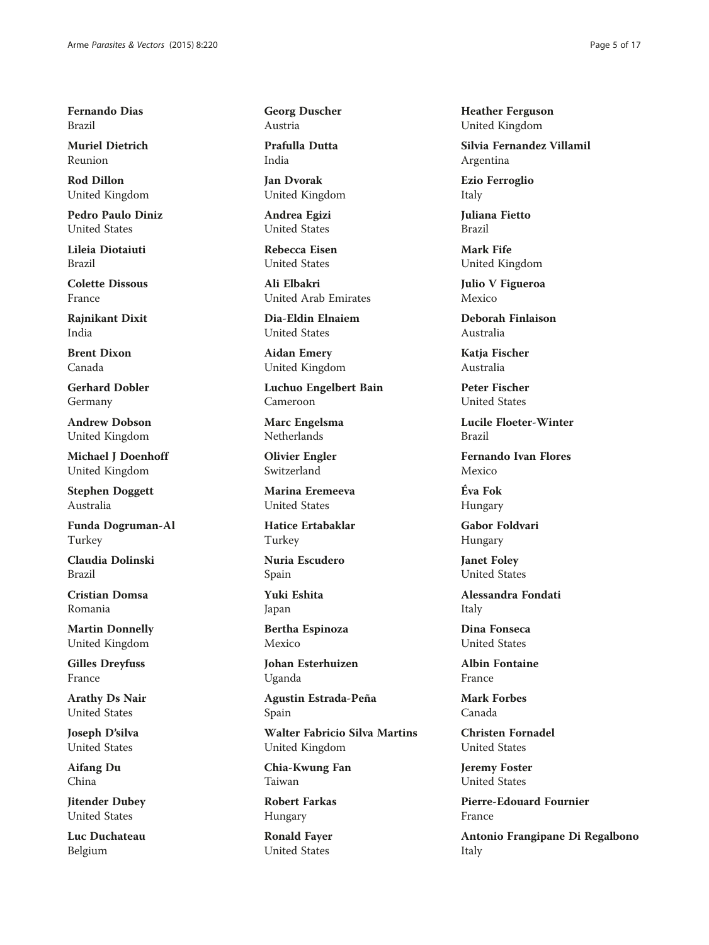Fernando Dias Brazil

Muriel Dietrich Reunion

Rod Dillon United Kingdom

Pedro Paulo Diniz United States

Lileia Diotaiuti Brazil

Colette Dissous France

Rajnikant Dixit India

Brent Dixon Canada

Gerhard Dobler Germany

Andrew Dobson United Kingdom

Michael J Doenhoff United Kingdom

Stephen Doggett Australia

Funda Dogruman-Al Turkey

Claudia Dolinski Brazil

Cristian Domsa Romania

Martin Donnelly United Kingdom

Gilles Dreyfuss France

Arathy Ds Nair United States

Joseph D'silva United States

Aifang Du China

Jitender Dubey United States

Luc Duchateau Belgium

Georg Duscher Austria

Prafulla Dutta India

Jan Dvorak United Kingdom

Andrea Egizi United States

Rebecca Eisen United States

Ali Elbakri United Arab Emirates

Dia-Eldin Elnaiem United States

Aidan Emery United Kingdom

Luchuo Engelbert Bain Cameroon

Marc Engelsma Netherlands

Olivier Engler Switzerland

Marina Eremeeva United States

Hatice Ertabaklar Turkey

Nuria Escudero Spain

Yuki Eshita Japan

Bertha Espinoza Mexico

Johan Esterhuizen Uganda

Agustin Estrada-Peña Spain

Walter Fabricio Silva Martins United Kingdom

Chia-Kwung Fan Taiwan

Robert Farkas Hungary

Ronald Fayer United States

Heather Ferguson United Kingdom

Silvia Fernandez Villamil Argentina

Ezio Ferroglio Italy

Juliana Fietto Brazil

Mark Fife United Kingdom

Julio V Figueroa Mexico

Deborah Finlaison Australia

Katia Fischer Australia

Peter Fischer United States

Lucile Floeter-Winter Brazil

Fernando Ivan Flores Mexico

Éva Fok Hungary

Gabor Foldvari Hungary

Janet Foley United States

Alessandra Fondati Italy

Dina Fonseca United States

Albin Fontaine France

Mark Forbes Canada

Christen Fornadel United States

Jeremy Foster United States

Pierre-Edouard Fournier France

Antonio Frangipane Di Regalbono Italy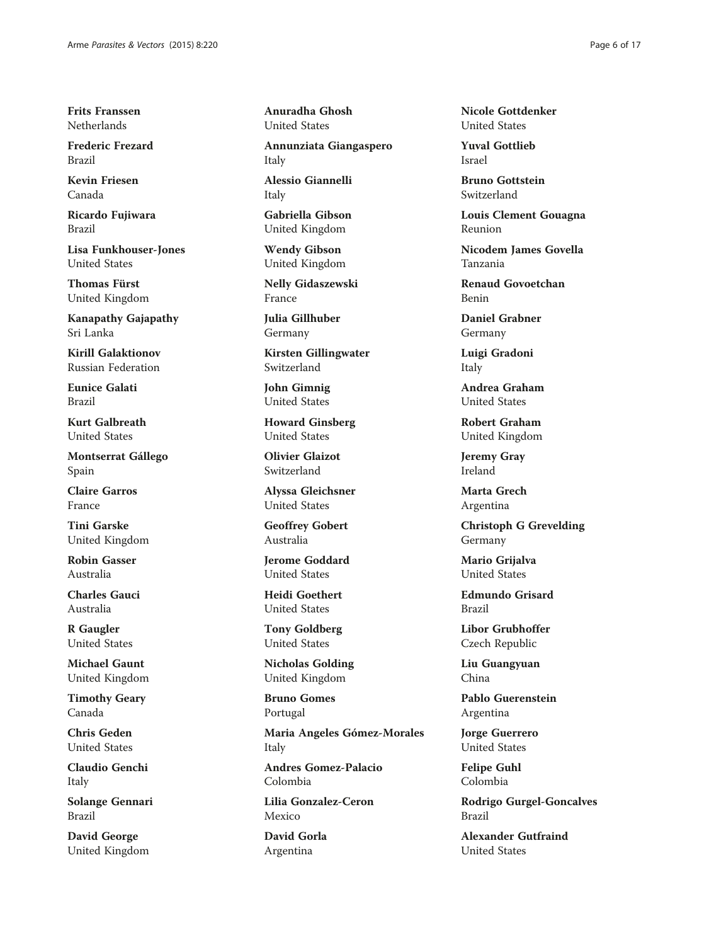Frits Franssen Netherlands

Frederic Frezard Brazil

Kevin Friesen Canada

Ricardo Fujiwara Brazil

Lisa Funkhouser-Jones United States

Thomas Fürst United Kingdom

Kanapathy Gajapathy Sri Lanka

Kirill Galaktionov Russian Federation

Eunice Galati Brazil

Kurt Galbreath United States

Montserrat Gállego Spain

Claire Garros France

Tini Garske United Kingdom

Robin Gasser Australia

Charles Gauci Australia

R Gaugler United States

Michael Gaunt United Kingdom

Timothy Geary Canada

Chris Geden United States

Claudio Genchi Italy

Solange Gennari Brazil

David George United Kingdom Anuradha Ghosh United States

Annunziata Giangaspero Italy

Alessio Giannelli Italy

Gabriella Gibson United Kingdom

Wendy Gibson United Kingdom

Nelly Gidaszewski France

Julia Gillhuber Germany

Kirsten Gillingwater Switzerland

John Gimnig United States

Howard Ginsberg United States

Olivier Glaizot Switzerland

Alyssa Gleichsner United States

Geoffrey Gobert Australia

Jerome Goddard United States

Heidi Goethert United States

Tony Goldberg United States

Nicholas Golding United Kingdom

Bruno Gomes Portugal

Maria Angeles Gómez-Morales Italy

Andres Gomez-Palacio Colombia

Lilia Gonzalez-Ceron Mexico

David Gorla Argentina

Nicole Gottdenker United States

Yuval Gottlieb Israel

Bruno Gottstein Switzerland

Louis Clement Gouagna Reunion

Nicodem James Govella Tanzania

Renaud Govoetchan Benin

Daniel Grabner Germany

Luigi Gradoni Italy

Andrea Graham United States

Robert Graham United Kingdom

Jeremy Gray Ireland

Marta Grech Argentina

Christoph G Grevelding Germany

Mario Grijalva United States

Edmundo Grisard Brazil

Libor Grubhoffer Czech Republic

Liu Guangyuan China

Pablo Guerenstein Argentina

Jorge Guerrero United States

Felipe Guhl Colombia

Rodrigo Gurgel-Goncalves Brazil

Alexander Gutfraind United States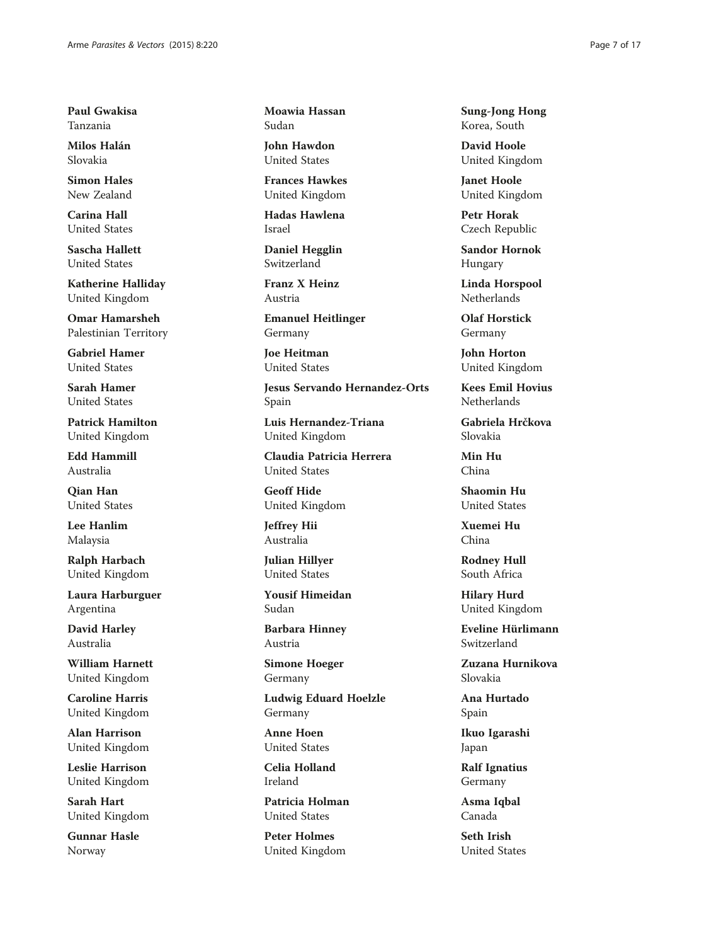Paul Gwakisa Tanzania

Milos Halán Slovakia

Simon Hales New Zealand

Carina Hall United States

Sascha Hallett United States

Katherine Halliday United Kingdom

Omar Hamarsheh Palestinian Territory

Gabriel Hamer United States

Sarah Hamer United States

Patrick Hamilton United Kingdom

Edd Hammill Australia

Qian Han United States

Lee Hanlim Malaysia

Ralph Harbach United Kingdom

Laura Harburguer Argentina

David Harley Australia

William Harnett United Kingdom

Caroline Harris United Kingdom

Alan Harrison United Kingdom

Leslie Harrison United Kingdom

Sarah Hart United Kingdom

Gunnar Hasle Norway

Moawia Hassan Sudan

John Hawdon United States

Frances Hawkes United Kingdom

Hadas Hawlena Israel

Daniel Hegglin Switzerland

Franz X Heinz Austria

Emanuel Heitlinger Germany

Joe Heitman United States

Jesus Servando Hernandez-Orts Spain

Luis Hernandez-Triana United Kingdom

Claudia Patricia Herrera United States

Geoff Hide United Kingdom

Jeffrey Hii Australia

Julian Hillyer United States

Yousif Himeidan Sudan

Barbara Hinney Austria

Simone Hoeger Germany

Ludwig Eduard Hoelzle Germany

Anne Hoen United States

Celia Holland Ireland

Patricia Holman United States

Peter Holmes United Kingdom Sung-Jong Hong Korea, South

David Hoole United Kingdom

Janet Hoole United Kingdom

Petr Horak Czech Republic

Sandor Hornok Hungary

Linda Horspool Netherlands

Olaf Horstick Germany

John Horton United Kingdom

Kees Emil Hovius Netherlands

Gabriela Hrčkova Slovakia

Min Hu China

Shaomin Hu United States

Xuemei Hu China

Rodney Hull South Africa

Hilary Hurd United Kingdom

Eveline Hürlimann Switzerland

Zuzana Hurnikova Slovakia

Ana Hurtado Spain

Ikuo Igarashi Japan

Ralf Ignatius Germany

Asma Iqbal Canada

Seth Irish United States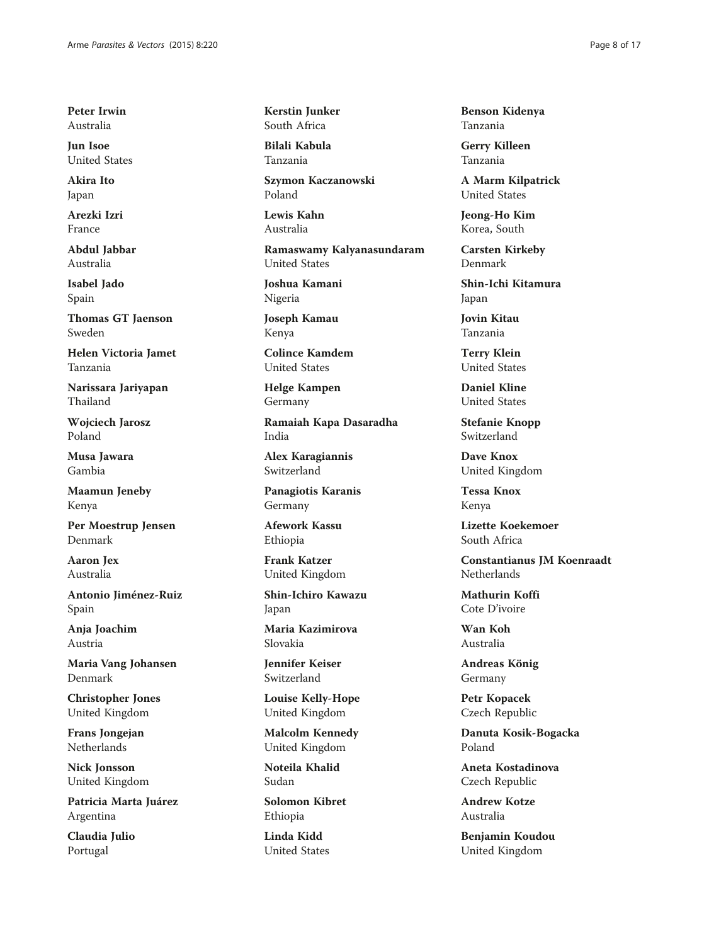Peter Irwin Australia

Jun Isoe United States

Akira Ito Japan

Arezki Izri France

Abdul Jabbar Australia

Isabel Jado Spain

Thomas GT Jaenson Sweden

Helen Victoria Jamet Tanzania

Narissara Jariyapan Thailand

Wojciech Jarosz Poland

Musa Jawara Gambia

Maamun Jeneby Kenya

Per Moestrup Jensen Denmark

Aaron Jex Australia

Antonio Jiménez-Ruiz Spain

Anja Joachim Austria

Maria Vang Johansen Denmark

Christopher Jones United Kingdom

Frans Jongejan Netherlands

Nick Jonsson United Kingdom

Patricia Marta Juárez Argentina

Claudia Julio Portugal

Kerstin Junker South Africa

Bilali Kabula Tanzania

Szymon Kaczanowski Poland

Lewis Kahn Australia

Ramaswamy Kalyanasundaram United States

Joshua Kamani Nigeria

Joseph Kamau Kenya

Colince Kamdem United States

Helge Kampen Germany

Ramaiah Kapa Dasaradha India

Alex Karagiannis Switzerland

Panagiotis Karanis Germany

Afework Kassu Ethiopia

Frank Katzer United Kingdom

Shin-Ichiro Kawazu Japan

Maria Kazimirova Slovakia

Jennifer Keiser Switzerland

Louise Kelly-Hope United Kingdom

Malcolm Kennedy United Kingdom

Noteila Khalid Sudan

Solomon Kibret Ethiopia

Linda Kidd United States Benson Kidenya Tanzania

Gerry Killeen Tanzania

A Marm Kilpatrick United States

Jeong-Ho Kim Korea, South

Carsten Kirkeby Denmark

Shin-Ichi Kitamura Japan

Jovin Kitau Tanzania

Terry Klein United States

Daniel Kline United States

Stefanie Knopp Switzerland

Dave Knox United Kingdom

Tessa Knox Kenya

Lizette Koekemoer South Africa

Constantianus JM Koenraadt **Netherlands** 

Mathurin Koffi Cote D'ivoire

Wan Koh Australia

Andreas König Germany

Petr Kopacek Czech Republic

Danuta Kosik-Bogacka Poland

Aneta Kostadinova Czech Republic

Andrew Kotze Australia

Benjamin Koudou United Kingdom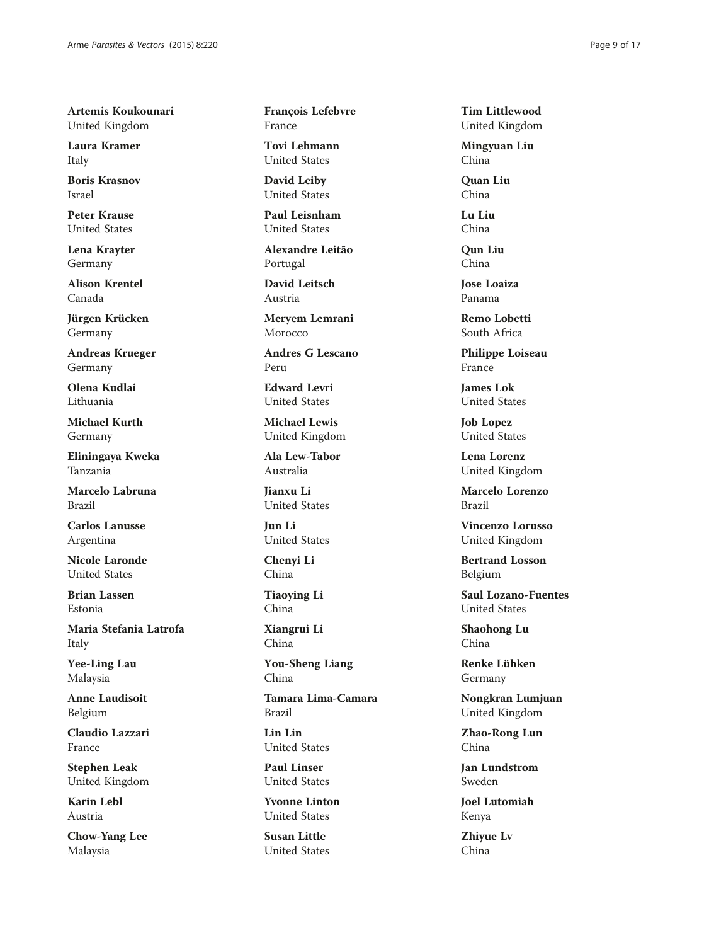Artemis Koukounari United Kingdom

Laura Kramer Italy

Boris Krasnov Israel

Peter Krause United States

Lena Krayter Germany

Alison Krentel Canada

Jürgen Krücken Germany

Andreas Krueger Germany

Olena Kudlai Lithuania

Michael Kurth Germany

Eliningaya Kweka Tanzania

Marcelo Labruna Brazil

Carlos Lanusse Argentina

Nicole Laronde United States

Brian Lassen Estonia

Maria Stefania Latrofa Italy

Yee-Ling Lau Malaysia

Anne Laudisoit Belgium

Claudio Lazzari France

Stephen Leak United Kingdom

Karin Lebl Austria

Chow-Yang Lee Malaysia

François Lefebvre France

Tovi Lehmann United States

David Leiby United States

Paul Leisnham United States

Alexandre Leitão Portugal

David Leitsch Austria

Meryem Lemrani Morocco

Andres G Lescano Peru

Edward Levri United States

Michael Lewis United Kingdom

Ala Lew-Tabor Australia

Jianxu Li United States

Jun Li United States

Chenyi Li China

Tiaoying Li China

Xiangrui Li China

You-Sheng Liang China

Tamara Lima-Camara Brazil

Lin Lin United States

Paul Linser United States

Yvonne Linton United States

Susan Little United States Tim Littlewood United Kingdom

Mingyuan Liu China

Quan Liu China

Lu Liu China

Qun Liu China

Jose Loaiza Panama

Remo Lobetti South Africa

Philippe Loiseau France

James Lok United States

Job Lopez United States

Lena Lorenz United Kingdom

Marcelo Lorenzo Brazil

Vincenzo Lorusso United Kingdom

Bertrand Losson Belgium

Saul Lozano-Fuentes United States

Shaohong Lu China

Renke Lühken Germany

Nongkran Lumjuan United Kingdom

Zhao-Rong Lun China

Jan Lundstrom Sweden

Joel Lutomiah Kenya

Zhiyue Lv China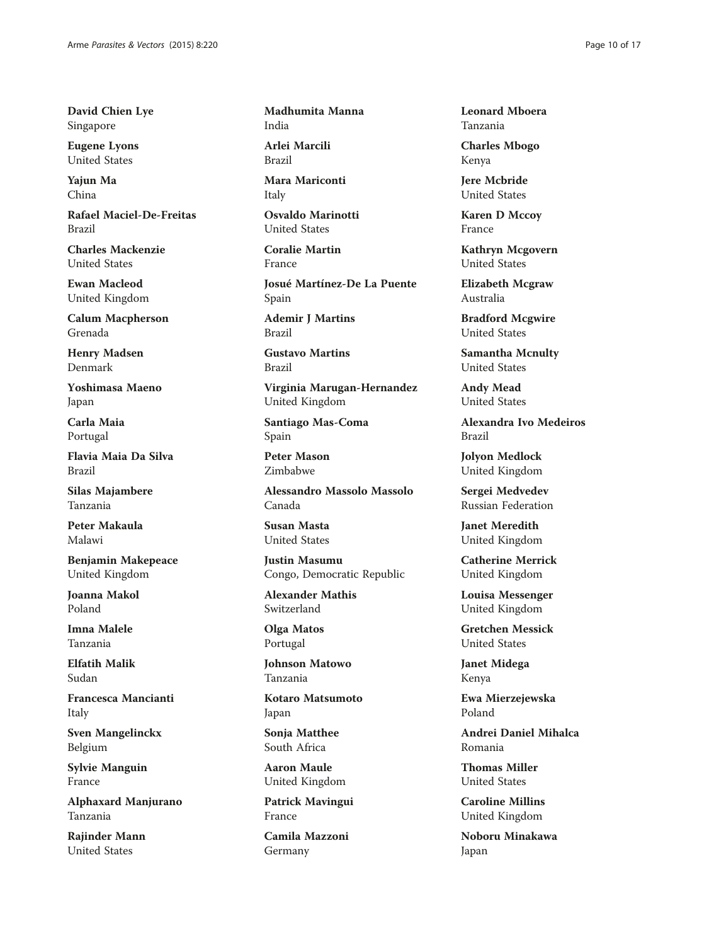David Chien Lye Singapore

Eugene Lyons United States

Yajun Ma China

Rafael Maciel-De-Freitas Brazil

Charles Mackenzie United States

Ewan Macleod United Kingdom

Calum Macpherson Grenada

Henry Madsen Denmark

Yoshimasa Maeno Japan

Carla Maia Portugal

Flavia Maia Da Silva Brazil

Silas Majambere Tanzania

Peter Makaula Malawi

Benjamin Makepeace United Kingdom

Joanna Makol Poland

Imna Malele Tanzania

Elfatih Malik Sudan

Francesca Mancianti Italy

Sven Mangelinckx Belgium

Sylvie Manguin France

Alphaxard Manjurano Tanzania

Rajinder Mann United States

Madhumita Manna India

Arlei Marcili Brazil

Mara Mariconti Italy

Osvaldo Marinotti United States

Coralie Martin France

Josué Martínez-De La Puente Spain

Ademir J Martins Brazil

Gustavo Martins Brazil

Virginia Marugan-Hernandez United Kingdom

Santiago Mas-Coma Spain

Peter Mason Zimbabwe

Alessandro Massolo Massolo Canada

Susan Masta United States

Justin Masumu Congo, Democratic Republic

Alexander Mathis Switzerland

Olga Matos Portugal

Johnson Matowo Tanzania

Kotaro Matsumoto Japan

Sonja Matthee South Africa

Aaron Maule United Kingdom

Patrick Mavingui France

Camila Mazzoni Germany

Leonard Mboera Tanzania

Charles Mbogo Kenya

Jere Mcbride United States

Karen D Mccoy France

Kathryn Mcgovern United States

Elizabeth Mcgraw Australia

Bradford Mcgwire United States

Samantha Mcnulty United States

Andy Mead United States

Alexandra Ivo Medeiros Brazil

Jolyon Medlock United Kingdom

Sergei Medvedev Russian Federation

Janet Meredith United Kingdom

Catherine Merrick United Kingdom

Louisa Messenger United Kingdom

Gretchen Messick United States

Janet Midega Kenya

Ewa Mierzejewska Poland

Andrei Daniel Mihalca Romania

Thomas Miller United States

Caroline Millins United Kingdom

Noboru Minakawa Japan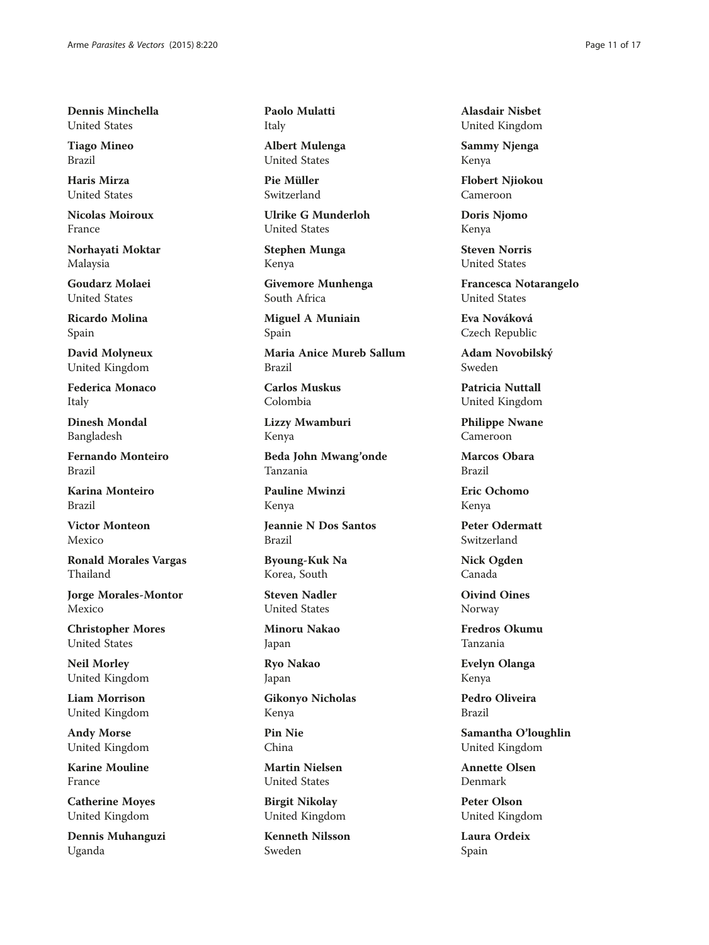Dennis Minchella United States

Tiago Mineo Brazil

Haris Mirza United States

Nicolas Moiroux France

Norhayati Moktar Malaysia

Goudarz Molaei United States

Ricardo Molina Spain

David Molyneux United Kingdom

Federica Monaco Italy

Dinesh Mondal Bangladesh

Fernando Monteiro Brazil

Karina Monteiro Brazil

Victor Monteon Mexico

Ronald Morales Vargas Thailand

Jorge Morales-Montor Mexico

Christopher Mores United States

Neil Morley United Kingdom

Liam Morrison United Kingdom

Andy Morse United Kingdom

Karine Mouline France

Catherine Moyes United Kingdom

Dennis Muhanguzi Uganda

Paolo Mulatti Italy

Albert Mulenga United States

Pie Müller Switzerland

Ulrike G Munderloh United States

Stephen Munga Kenya

Givemore Munhenga South Africa

Miguel A Muniain Spain

Maria Anice Mureb Sallum Brazil

Carlos Muskus Colombia

Lizzy Mwamburi Kenya

Beda John Mwang'onde Tanzania

Pauline Mwinzi Kenya

Jeannie N Dos Santos Brazil

Byoung-Kuk Na Korea, South

Steven Nadler United States

Minoru Nakao Japan

Ryo Nakao Japan

Gikonyo Nicholas Kenya

Pin Nie China

Martin Nielsen United States

Birgit Nikolay United Kingdom

Kenneth Nilsson Sweden

Alasdair Nisbet United Kingdom

Sammy Njenga Kenya

Flobert Njiokou Cameroon

Doris Njomo Kenya

Steven Norris United States

Francesca Notarangelo United States

Eva Nováková Czech Republic

Adam Novobilský Sweden

Patricia Nuttall United Kingdom

Philippe Nwane Cameroon

Marcos Obara Brazil

Eric Ochomo Kenya

Peter Odermatt Switzerland

Nick Ogden Canada

Oivind Oines Norway

Fredros Okumu Tanzania

Evelyn Olanga Kenya

Pedro Oliveira Brazil

Samantha O'loughlin United Kingdom

Annette Olsen Denmark

Peter Olson United Kingdom

Laura Ordeix Spain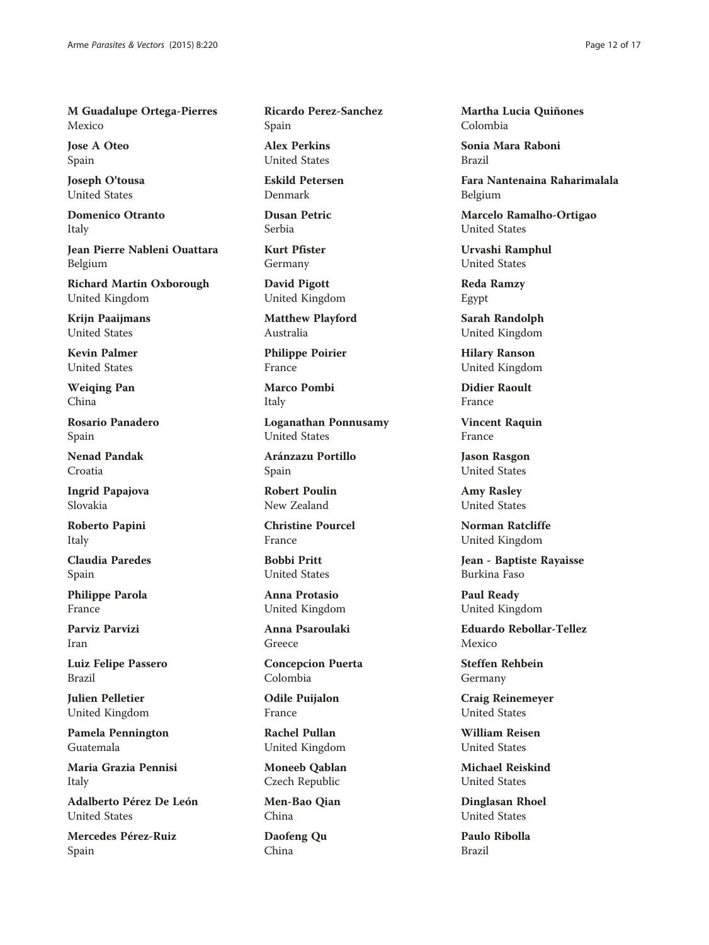M Guadalupe Ortega-Pierres Mexico

Jose A Oteo Spain

Joseph O'tousa United States

Domenico Otranto Italy

Jean Pierre Nableni Ouattara Belgium

Richard Martin Oxborough United Kingdom

Krijn Paaijmans United States

Kevin Palmer United States

Weiqing Pan China

Rosario Panadero Spain

Nenad Pandak Croatia

Ingrid Papajova Slovakia

Roberto Papini Italy

Claudia Paredes Spain

Philippe Parola France

Parviz Parvizi Iran

Luiz Felipe Passero Brazil

Julien Pelletier United Kingdom

Pamela Pennington Guatemala

Maria Grazia Pennisi Italy

Adalberto Pérez De León United States

Mercedes Pérez-Ruiz Spain

Ricardo Perez-Sanchez Spain

Alex Perkins United States

Eskild Petersen Denmark

Dusan Petric Serbia

Kurt Pfister Germany

David Pigott United Kingdom

Matthew Playford Australia

Philippe Poirier France

Marco Pombi Italy

Loganathan Ponnusamy United States

Aránzazu Portillo Spain

Robert Poulin New Zealand

Christine Pourcel France

Bobbi Pritt United States

Anna Protasio United Kingdom

Anna Psaroulaki Greece

Concepcion Puerta Colombia

Odile Puijalon France

Rachel Pullan United Kingdom

Moneeb Qablan Czech Republic

Men-Bao Qian China

Daofeng Qu China

Martha Lucia Quiñones Colombia

Sonia Mara Raboni Brazil

Fara Nantenaina Raharimalala Belgium

Marcelo Ramalho-Ortigao United States

Urvashi Ramphul United States

Reda Ramzy Egypt

Sarah Randolph United Kingdom

Hilary Ranson United Kingdom

Didier Raoult France

Vincent Raquin France

Jason Rasgon United States

Amy Rasley United States

Norman Ratcliffe United Kingdom

Jean - Baptiste Rayaisse Burkina Faso

Paul Ready United Kingdom

Eduardo Rebollar-Tellez Mexico

Steffen Rehbein Germany

Craig Reinemeyer United States

William Reisen United States

Michael Reiskind United States

Dinglasan Rhoel United States

Paulo Ribolla Brazil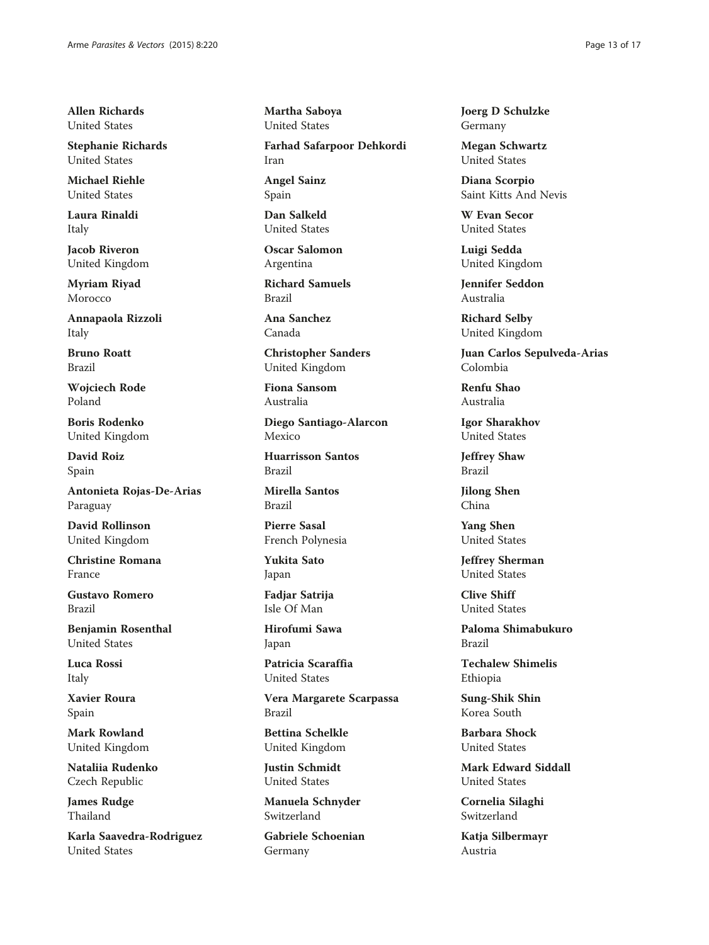Allen Richards United States

Stephanie Richards United States

Michael Riehle United States

Laura Rinaldi Italy

Jacob Riveron United Kingdom

Myriam Riyad Morocco

Annapaola Rizzoli Italy

Bruno Roatt Brazil

Wojciech Rode Poland

Boris Rodenko United Kingdom

David Roiz Spain

Antonieta Rojas-De-Arias Paraguay

David Rollinson United Kingdom

Christine Romana France

Gustavo Romero Brazil

Benjamin Rosenthal United States

Luca Rossi Italy

Xavier Roura Spain

Mark Rowland United Kingdom

Nataliia Rudenko Czech Republic

James Rudge Thailand

Karla Saavedra-Rodriguez United States

Martha Saboya United States

Farhad Safarpoor Dehkordi Iran

Angel Sainz Spain

Dan Salkeld United States

Oscar Salomon Argentina

Richard Samuels Brazil

Ana Sanchez Canada

Christopher Sanders United Kingdom

Fiona Sansom Australia

Diego Santiago-Alarcon Mexico

Huarrisson Santos Brazil

Mirella Santos Brazil

Pierre Sasal French Polynesia

Yukita Sato Japan

Fadjar Satrija Isle Of Man

Hirofumi Sawa Japan

Patricia Scaraffia United States

Vera Margarete Scarpassa Brazil

Bettina Schelkle United Kingdom

Justin Schmidt United States

Manuela Schnyder Switzerland

Gabriele Schoenian Germany

Joerg D Schulzke Germany

Megan Schwartz United States

Diana Scorpio Saint Kitts And Nevis

W Evan Secor United States

Luigi Sedda United Kingdom

Jennifer Seddon Australia

Richard Selby United Kingdom

Juan Carlos Sepulveda-Arias Colombia

Renfu Shao Australia

Igor Sharakhov United States

Jeffrey Shaw Brazil

Jilong Shen China

Yang Shen United States

Jeffrey Sherman United States

Clive Shiff United States

Paloma Shimabukuro Brazil

Techalew Shimelis Ethiopia

Sung-Shik Shin Korea South

Barbara Shock United States

Mark Edward Siddall United States

Cornelia Silaghi Switzerland

Katja Silbermayr Austria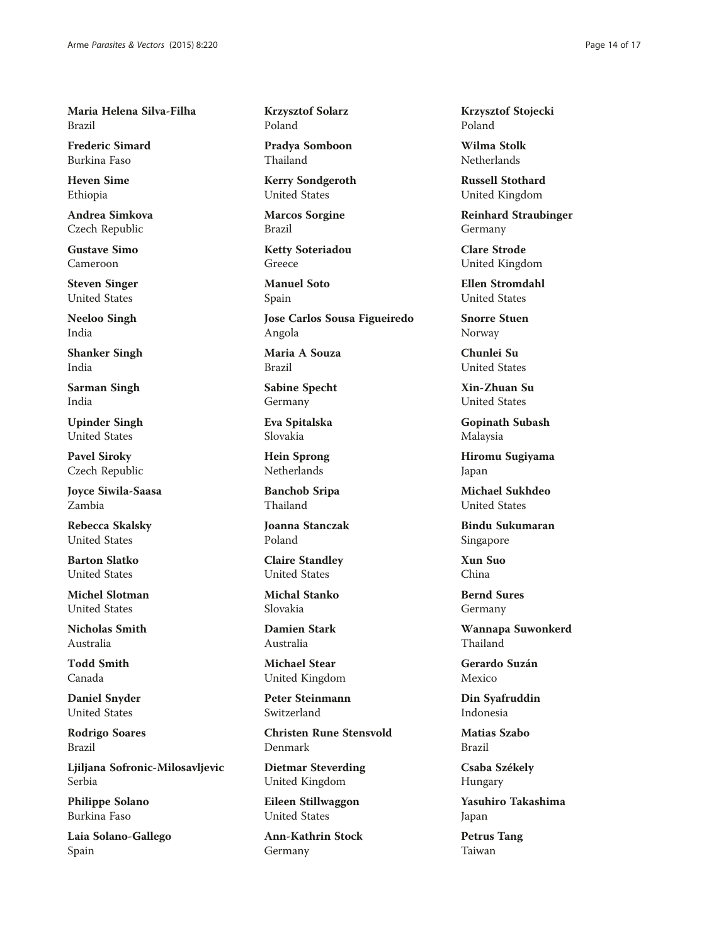Maria Helena Silva-Filha Brazil

Frederic Simard Burkina Faso

Heven Sime Ethiopia

Andrea Simkova Czech Republic

Gustave Simo Cameroon

Steven Singer United States

Neeloo Singh India

Shanker Singh India

Sarman Singh India

Upinder Singh United States

Pavel Siroky Czech Republic

Joyce Siwila-Saasa Zambia

Rebecca Skalsky United States

Barton Slatko United States

Michel Slotman United States

Nicholas Smith Australia

Todd Smith Canada

Daniel Snyder United States

Rodrigo Soares Brazil

Ljiljana Sofronic-Milosavljevic Serbia

Philippe Solano Burkina Faso

Laia Solano-Gallego Spain

Krzysztof Solarz Poland

Pradya Somboon Thailand

Kerry Sondgeroth United States

Marcos Sorgine Brazil

Ketty Soteriadou Greece

Manuel Soto Spain

Jose Carlos Sousa Figueiredo Angola

Maria A Souza Brazil

Sabine Specht Germany

Eva Spitalska Slovakia

Hein Sprong Netherlands

Banchob Sripa Thailand

Joanna Stanczak Poland

Claire Standley United States

Michal Stanko Slovakia

Damien Stark Australia

Michael Stear United Kingdom

Peter Steinmann Switzerland

Christen Rune Stensvold Denmark

Dietmar Steverding United Kingdom

Eileen Stillwaggon United States

Ann-Kathrin Stock Germany

Krzysztof Stojecki Poland

Wilma Stolk Netherlands

Russell Stothard United Kingdom

Reinhard Straubinger Germany

Clare Strode United Kingdom

Ellen Stromdahl United States

Snorre Stuen Norway

Chunlei Su United States

Xin-Zhuan Su United States

Gopinath Subash Malaysia

Hiromu Sugiyama Japan

Michael Sukhdeo United States

Bindu Sukumaran Singapore

Xun Suo China

Bernd Sures Germany

Wannapa Suwonkerd Thailand

Gerardo Suzán Mexico

Din Syafruddin Indonesia

Matias Szabo Brazil

Csaba Székely Hungary

Yasuhiro Takashima Japan

Petrus Tang Taiwan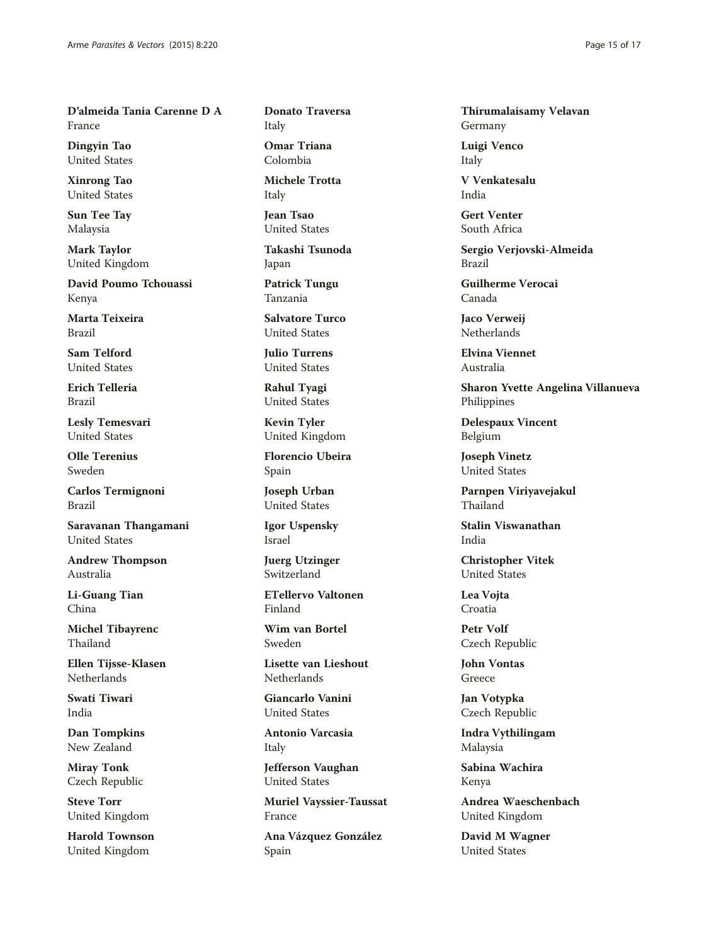D'almeida Tania Carenne D A France

Dingyin Tao United States

Xinrong Tao United States

Sun Tee Tay Malaysia

Mark Taylor United Kingdom

David Poumo Tchouassi Kenya

Marta Teixeira Brazil

Sam Telford United States

Erich Telleria Brazil

Lesly Temesvari United States

Olle Terenius Sweden

Carlos Termignoni Brazil

Saravanan Thangamani United States

Andrew Thompson Australia

Li-Guang Tian China

Michel Tibayrenc Thailand

Ellen Tijsse-Klasen Netherlands

Swati Tiwari India

Dan Tompkins New Zealand

Miray Tonk Czech Republic

Steve Torr United Kingdom

Harold Townson United Kingdom

Donato Traversa Italy

Omar Triana Colombia

Michele Trotta Italy

Jean Tsao United States

Takashi Tsunoda Japan

Patrick Tungu Tanzania

Salvatore Turco United States

Julio Turrens United States

Rahul Tyagi United States

Kevin Tyler United Kingdom

Florencio Ubeira Spain

Joseph Urban United States

Igor Uspensky Israel

Juerg Utzinger Switzerland

ETellervo Valtonen Finland

Wim van Bortel Sweden

Lisette van Lieshout **Netherlands** 

Giancarlo Vanini United States

Antonio Varcasia Italy

Jefferson Vaughan United States

Muriel Vayssier-Taussat France

Ana Vázquez González Spain

Thirumalaisamy Velavan Germany

Luigi Venco Italy

V Venkatesalu India

Gert Venter South Africa

Sergio Verjovski-Almeida Brazil

Guilherme Verocai Canada

Jaco Verweij Netherlands

Elvina Viennet Australia

Sharon Yvette Angelina Villanueva Philippines

Delespaux Vincent Belgium

Joseph Vinetz United States

Parnpen Viriyavejakul Thailand

Stalin Viswanathan India

Christopher Vitek United States

Lea Vojta Croatia

Petr Volf Czech Republic

John Vontas Greece

Jan Votypka Czech Republic

Indra Vythilingam Malaysia

Sabina Wachira Kenya

Andrea Waeschenbach United Kingdom

David M Wagner United States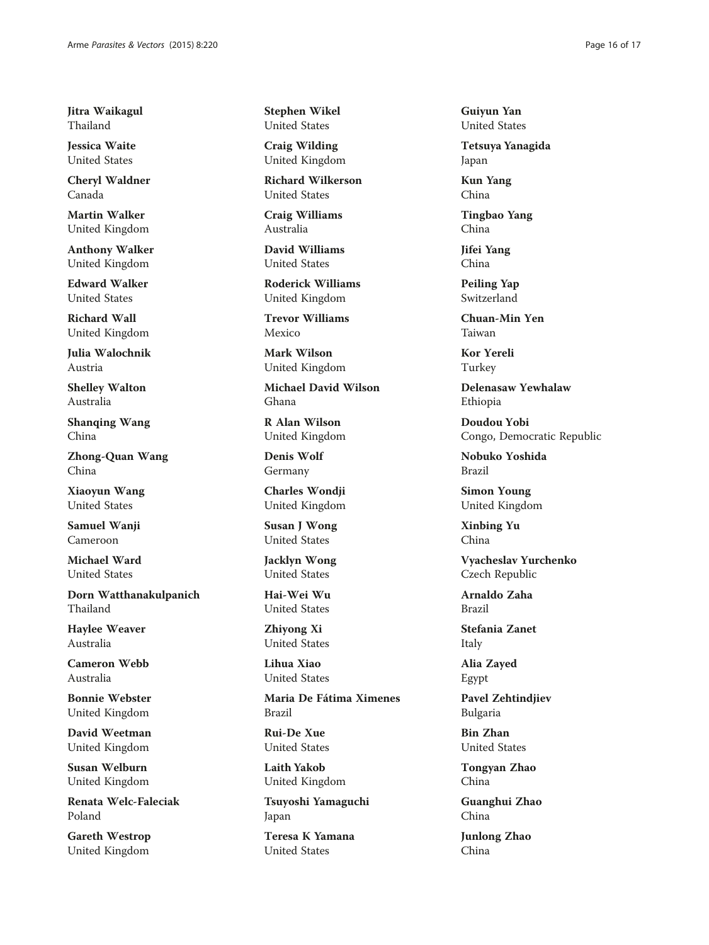Jitra Waikagul Thailand

Jessica Waite United States

Cheryl Waldner Canada

Martin Walker United Kingdom

Anthony Walker United Kingdom

Edward Walker United States

Richard Wall United Kingdom

Julia Walochnik Austria

Shelley Walton Australia

Shanqing Wang China

Zhong-Quan Wang China

Xiaoyun Wang United States

Samuel Wanji Cameroon

Michael Ward United States

Dorn Watthanakulpanich Thailand

Haylee Weaver Australia

Cameron Webb Australia

Bonnie Webster United Kingdom

David Weetman United Kingdom

Susan Welburn United Kingdom

Renata Welc-Faleciak Poland

Gareth Westrop United Kingdom

Stephen Wikel United States

Craig Wilding United Kingdom

Richard Wilkerson United States

Craig Williams Australia

David Williams United States

Roderick Williams United Kingdom

Trevor Williams Mexico

Mark Wilson United Kingdom

Michael David Wilson Ghana

R Alan Wilson United Kingdom

Denis Wolf Germany

Charles Wondji United Kingdom

Susan J Wong United States

Jacklyn Wong United States

Hai-Wei Wu United States

Zhiyong Xi United States

Lihua Xiao United States

Maria De Fátima Ximenes Brazil

Rui-De Xue United States

Laith Yakob United Kingdom

Tsuyoshi Yamaguchi Japan

Teresa K Yamana United States

Guiyun Yan United States

Tetsuya Yanagida Japan

Kun Yang China

Tingbao Yang China

Jifei Yang China

Peiling Yap Switzerland

Chuan-Min Yen Taiwan

Kor Yereli Turkey

Delenasaw Yewhalaw Ethiopia

Doudou Yobi Congo, Democratic Republic

Nobuko Yoshida Brazil

Simon Young United Kingdom

Xinbing Yu China

Vyacheslav Yurchenko Czech Republic

Arnaldo Zaha Brazil

Stefania Zanet Italy

Alia Zayed Egypt

Pavel Zehtindjiev Bulgaria

Bin Zhan United States

Tongyan Zhao China

Guanghui Zhao China

Junlong Zhao China